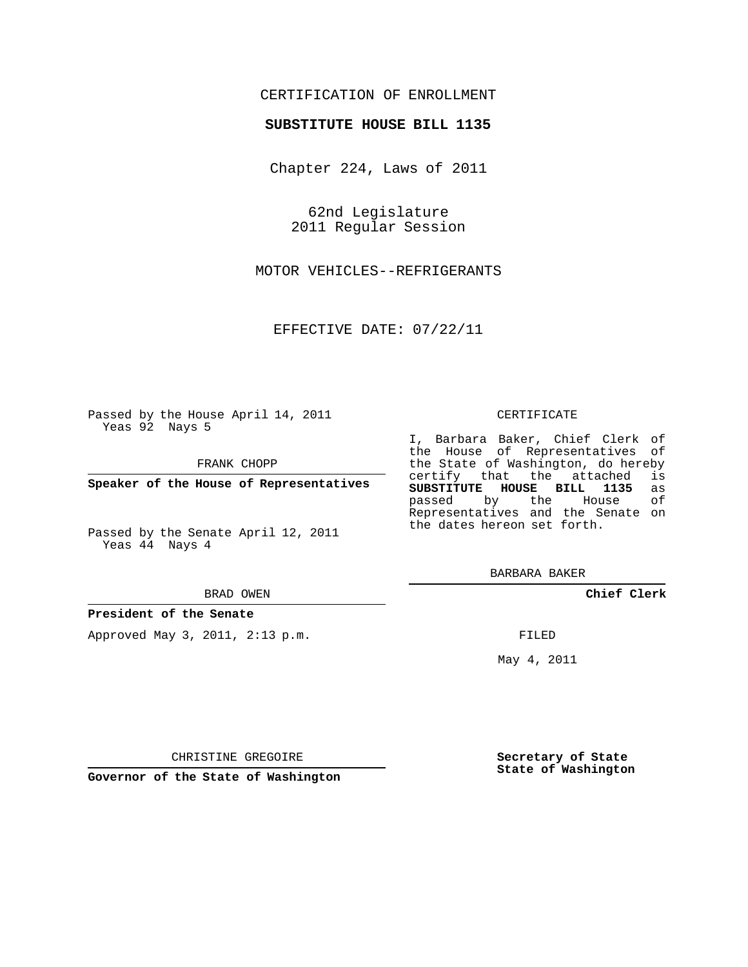## CERTIFICATION OF ENROLLMENT

#### **SUBSTITUTE HOUSE BILL 1135**

Chapter 224, Laws of 2011

62nd Legislature 2011 Regular Session

MOTOR VEHICLES--REFRIGERANTS

EFFECTIVE DATE: 07/22/11

Passed by the House April 14, 2011 Yeas 92 Nays 5

FRANK CHOPP

**Speaker of the House of Representatives**

Passed by the Senate April 12, 2011 Yeas 44 Nays 4

#### BRAD OWEN

#### **President of the Senate**

Approved May 3, 2011, 2:13 p.m.

#### CERTIFICATE

I, Barbara Baker, Chief Clerk of the House of Representatives of the State of Washington, do hereby<br>certify that the attached is certify that the attached **SUBSTITUTE HOUSE BILL 1135** as passed by the Representatives and the Senate on the dates hereon set forth.

BARBARA BAKER

**Chief Clerk**

FILED

May 4, 2011

**Secretary of State State of Washington**

CHRISTINE GREGOIRE

**Governor of the State of Washington**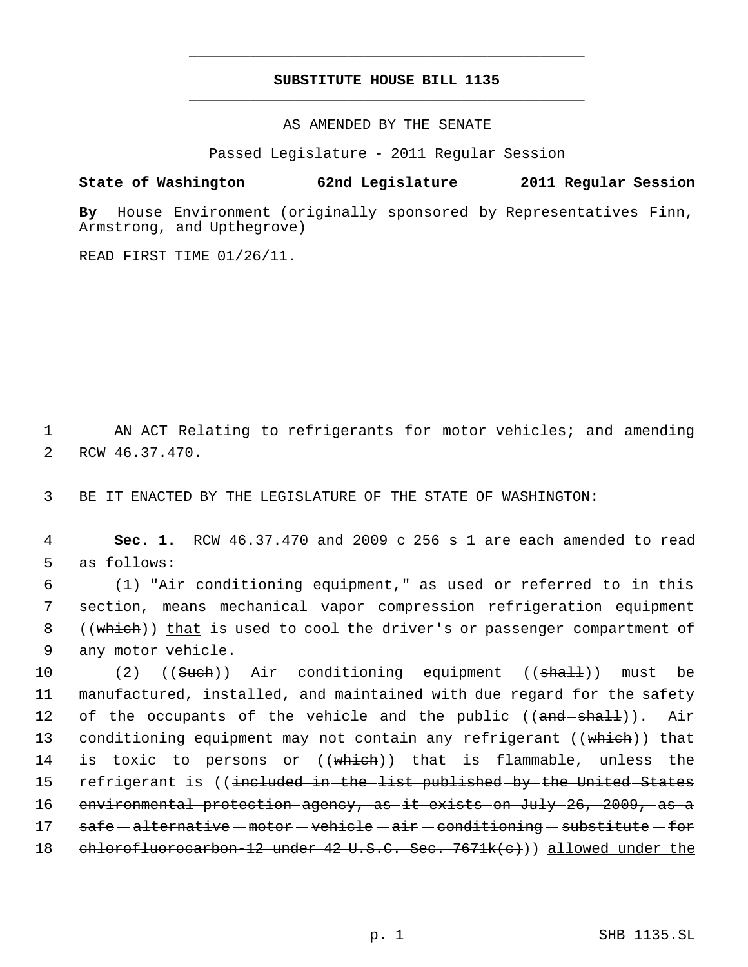# **SUBSTITUTE HOUSE BILL 1135** \_\_\_\_\_\_\_\_\_\_\_\_\_\_\_\_\_\_\_\_\_\_\_\_\_\_\_\_\_\_\_\_\_\_\_\_\_\_\_\_\_\_\_\_\_

\_\_\_\_\_\_\_\_\_\_\_\_\_\_\_\_\_\_\_\_\_\_\_\_\_\_\_\_\_\_\_\_\_\_\_\_\_\_\_\_\_\_\_\_\_

AS AMENDED BY THE SENATE

Passed Legislature - 2011 Regular Session

### **State of Washington 62nd Legislature 2011 Regular Session**

**By** House Environment (originally sponsored by Representatives Finn, Armstrong, and Upthegrove)

READ FIRST TIME 01/26/11.

 1 AN ACT Relating to refrigerants for motor vehicles; and amending 2 RCW 46.37.470.

3 BE IT ENACTED BY THE LEGISLATURE OF THE STATE OF WASHINGTON:

 4 **Sec. 1.** RCW 46.37.470 and 2009 c 256 s 1 are each amended to read 5 as follows:

 (1) "Air conditioning equipment," as used or referred to in this section, means mechanical vapor compression refrigeration equipment 8 ((<del>which</del>)) <u>that</u> is used to cool the driver's or passenger compartment of any motor vehicle.

10 (2) ((Such)) Air conditioning equipment ((shall)) must be 11 manufactured, installed, and maintained with due regard for the safety 12 of the occupants of the vehicle and the public ((and shall)). Air 13 conditioning equipment may not contain any refrigerant ((which)) that 14 is toxic to persons or ((which)) that is flammable, unless the 15 refrigerant is ((<del>included in the list published by the United States</del> 16 environmental protection agency, as it exists on July 26, 2009, as a 17  $set$  safe - alternative - motor - vehicle - air - conditioning - substitute - for 18 chlorofluorocarbon-12 under 42 U.S.C. Sec. 7671k(c)) allowed under the